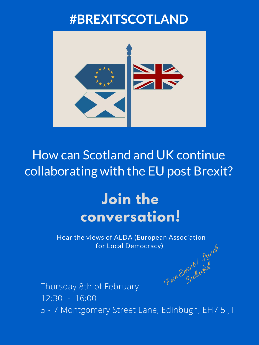### **#BREXITSCOTLAND**



How can Scotland and UK continue collaborating with the EU post Brexit?

# Hear the views of ALDA (European Association for Local Democracy) Free Enembled

## Thursday 8th of February 12:30 - 16:00 5 - 7 Montgomery Street Lane, Edinbugh, EH7 5 JT rent ded

## **Join the conversation!**